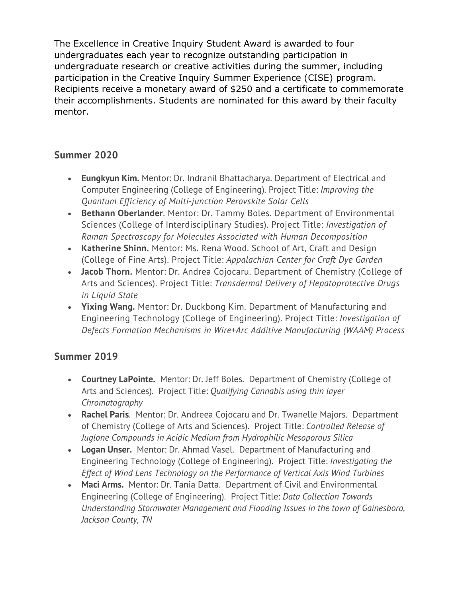The Excellence in Creative Inquiry Student Award is awarded to four undergraduates each year to recognize outstanding participation in undergraduate research or creative activities during the summer, including participation in the Creative Inquiry Summer Experience (CISE) program. Recipients receive a monetary award of \$250 and a certificate to commemorate their accomplishments. Students are nominated for this award by their faculty mentor.

## **Summer 2020**

- **Eungkyun Kim.** Mentor: Dr. Indranil Bhattacharya. Department of Electrical and Computer Engineering (College of Engineering). Project Title: *Improving the Quantum Efficiency of Multi-junction Perovskite Solar Cells*
- **Bethann Oberlander**. Mentor: Dr. Tammy Boles. Department of Environmental Sciences (College of Interdisciplinary Studies). Project Title: *Investigation of Raman Spectroscopy for Molecules Associated with Human Decomposition*
- **Katherine Shinn.** Mentor: Ms. Rena Wood. School of Art, Craft and Design (College of Fine Arts). Project Title: *Appalachian Center for Craft Dye Garden*
- **Jacob Thorn.** Mentor: Dr. Andrea Cojocaru. Department of Chemistry (College of Arts and Sciences). Project Title: *Transdermal Delivery of Hepatoprotective Drugs in Liquid State*
- **Yixing Wang.** Mentor: Dr. Duckbong Kim. Department of Manufacturing and Engineering Technology (College of Engineering). Project Title: *Investigation of Defects Formation Mechanisms in Wire+Arc Additive Manufacturing (WAAM) Process*

## **Summer 2019**

- **Courtney LaPointe.** Mentor: Dr. Jeff Boles. Department of Chemistry (College of Arts and Sciences). Project Title: *Qualifying Cannabis using thin layer Chromatography*
- **Rachel Paris**. Mentor: Dr. Andreea Cojocaru and Dr. Twanelle Majors. Department of Chemistry (College of Arts and Sciences). Project Title: *Controlled Release of Juglone Compounds in Acidic Medium from Hydrophilic Mesoporous Silica*
- **Logan Unser.** Mentor: Dr. Ahmad Vasel. Department of Manufacturing and Engineering Technology (College of Engineering). Project Title: *Investigating the Effect of Wind Lens Technology on the Performance of Vertical Axis Wind Turbines*
- **Maci Arms.** Mentor: Dr. Tania Datta. Department of Civil and Environmental Engineering (College of Engineering). Project Title: *Data Collection Towards Understanding Stormwater Management and Flooding Issues in the town of Gainesboro, Jackson County, TN*